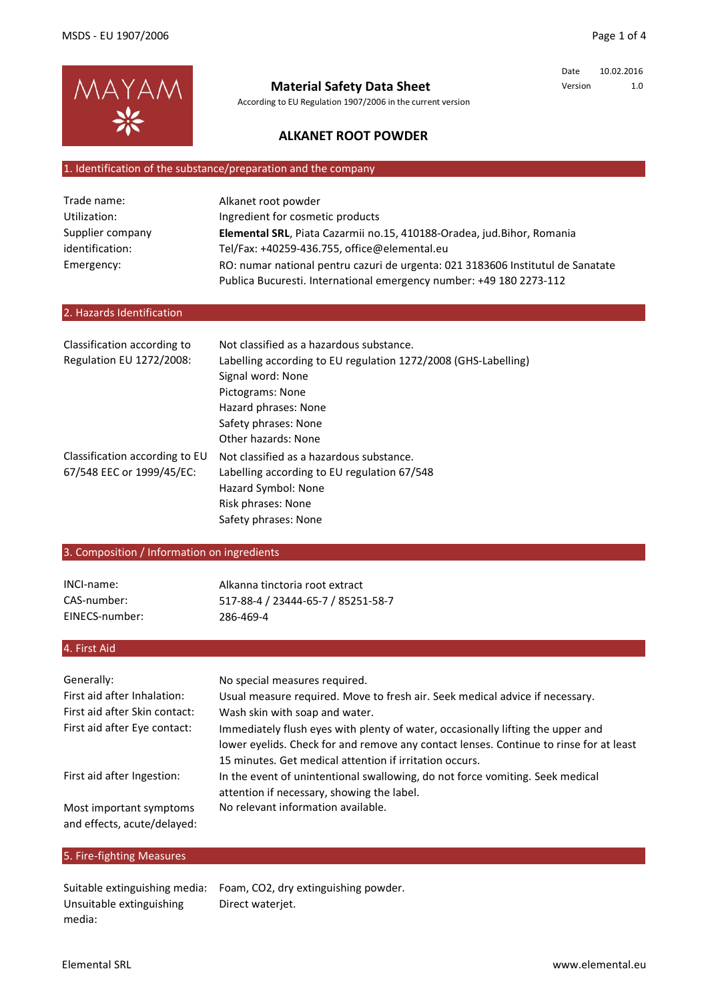

# **Material Safety Data Sheet**

According to EU Regulation 1907/2006 in the current version

Date 10.02.2016 Version 1.0

# **ALKANET ROOT POWDER**

#### 1. Identification of the substance/preparation and the company

| Trade name:      | Alkanet root powder                                                             |
|------------------|---------------------------------------------------------------------------------|
| Utilization:     | Ingredient for cosmetic products                                                |
| Supplier company | Elemental SRL, Piata Cazarmii no.15, 410188-Oradea, jud.Bihor, Romania          |
| identification:  | Tel/Fax: +40259-436.755, office@elemental.eu                                    |
| Emergency:       | RO: numar national pentru cazuri de urgenta: 021 3183606 Institutul de Sanatate |
|                  | Publica Bucuresti. International emergency number: +49 180 2273-112             |

# 2. Hazards Identification

| Classification according to    | Not classified as a hazardous substance.                       |
|--------------------------------|----------------------------------------------------------------|
| Regulation EU 1272/2008:       | Labelling according to EU regulation 1272/2008 (GHS-Labelling) |
|                                | Signal word: None                                              |
|                                | Pictograms: None                                               |
|                                | Hazard phrases: None                                           |
|                                | Safety phrases: None                                           |
|                                | Other hazards: None                                            |
| Classification according to EU | Not classified as a hazardous substance.                       |
| 67/548 EEC or 1999/45/EC:      | Labelling according to EU regulation 67/548                    |
|                                | Hazard Symbol: None                                            |
|                                | Risk phrases: None                                             |
|                                | Safety phrases: None                                           |

# 3. Composition / Information on ingredients

| INCI-name:     | Alkanna tinctoria root extract     |
|----------------|------------------------------------|
| CAS-number:    | 517-88-4 / 23444-65-7 / 85251-58-7 |
| EINECS-number: | 286-469-4                          |

# 4. First Aid

| Generally:<br>First aid after Inhalation:<br>First aid after Skin contact:<br>First aid after Eye contact: | No special measures required.<br>Usual measure required. Move to fresh air. Seek medical advice if necessary.<br>Wash skin with soap and water.<br>Immediately flush eyes with plenty of water, occasionally lifting the upper and<br>lower eyelids. Check for and remove any contact lenses. Continue to rinse for at least |
|------------------------------------------------------------------------------------------------------------|------------------------------------------------------------------------------------------------------------------------------------------------------------------------------------------------------------------------------------------------------------------------------------------------------------------------------|
| First aid after Ingestion:<br>Most important symptoms<br>and effects, acute/delayed:                       | 15 minutes. Get medical attention if irritation occurs.<br>In the event of unintentional swallowing, do not force vomiting. Seek medical<br>attention if necessary, showing the label.<br>No relevant information available.                                                                                                 |

# 5. Fire-fighting Measures

Suitable extinguishing media: Foam, CO2, dry extinguishing powder. Direct waterjet. Unsuitable extinguishing media: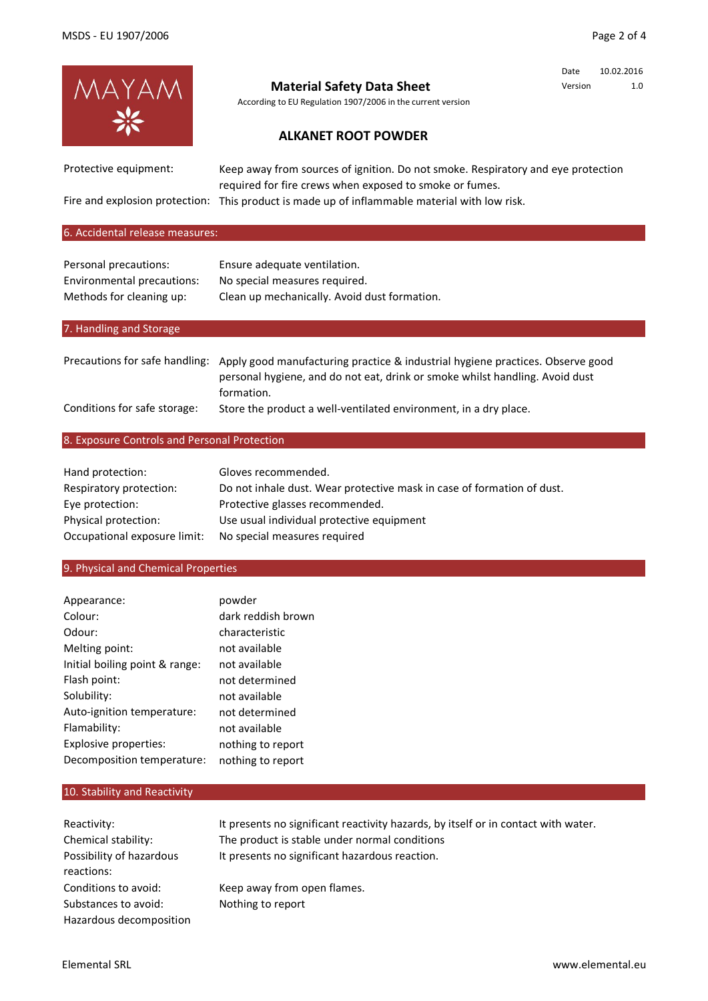Date 10.02.2016 Version 1.0



# **Material Safety Data Sheet**

According to EU Regulation 1907/2006 in the current version

# **ALKANET ROOT POWDER**

Protective equipment:

Keep away from sources of ignition. Do not smoke. Respiratory and eye protection required for fire crews when exposed to smoke or fumes.

Fire and explosion protection: This product is made up of inflammable material with low risk.

#### 6. Accidental release measures:

| Personal precautions:      | Ensure adequate ventilation.                 |
|----------------------------|----------------------------------------------|
| Environmental precautions: | No special measures required.                |
| Methods for cleaning up:   | Clean up mechanically. Avoid dust formation. |

# 7. Handling and Storage

|                              | Precautions for safe handling: Apply good manufacturing practice & industrial hygiene practices. Observe good |
|------------------------------|---------------------------------------------------------------------------------------------------------------|
|                              | personal hygiene, and do not eat, drink or smoke whilst handling. Avoid dust                                  |
|                              | formation.                                                                                                    |
| Conditions for safe storage: | Store the product a well-ventilated environment, in a dry place.                                              |

#### 8. Exposure Controls and Personal Protection

| Hand protection:             | Gloves recommended.                                                    |
|------------------------------|------------------------------------------------------------------------|
| Respiratory protection:      | Do not inhale dust. Wear protective mask in case of formation of dust. |
| Eye protection:              | Protective glasses recommended.                                        |
| Physical protection:         | Use usual individual protective equipment                              |
| Occupational exposure limit: | No special measures required                                           |

#### 9. Physical and Chemical Properties

| Appearance:                    | powder             |
|--------------------------------|--------------------|
| Colour:                        | dark reddish brown |
| Odour:                         | characteristic     |
| Melting point:                 | not available      |
| Initial boiling point & range: | not available      |
| Flash point:                   | not determined     |
| Solubility:                    | not available      |
| Auto-ignition temperature:     | not determined     |
| Flamability:                   | not available      |
| Explosive properties:          | nothing to report  |
| Decomposition temperature:     | nothing to report  |
|                                |                    |

#### 10. Stability and Reactivity

| It presents no significant reactivity hazards, by itself or in contact with water. |
|------------------------------------------------------------------------------------|
| The product is stable under normal conditions                                      |
| It presents no significant hazardous reaction.                                     |
|                                                                                    |
|                                                                                    |
|                                                                                    |
|                                                                                    |
|                                                                                    |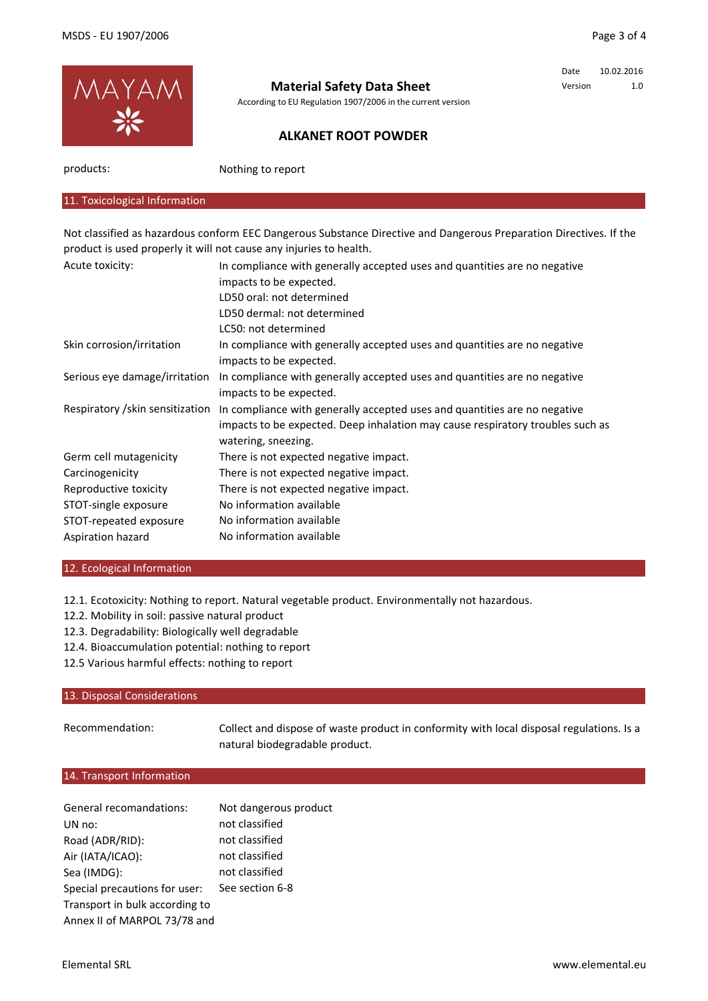

# **Material Safety Data Sheet**

According to EU Regulation 1907/2006 in the current version

# Date 10.02.2016 Version 1.0

# **ALKANET ROOT POWDER**

products:

Nothing to report

## 11. Toxicological Information

Not classified as hazardous conform EEC Dangerous Substance Directive and Dangerous Preparation Directives. If the product is used properly it will not cause any injuries to health.

| Acute toxicity:                  | In compliance with generally accepted uses and quantities are no negative      |
|----------------------------------|--------------------------------------------------------------------------------|
|                                  | impacts to be expected.                                                        |
|                                  | LD50 oral: not determined                                                      |
|                                  | LD50 dermal: not determined                                                    |
|                                  | LC50: not determined                                                           |
| Skin corrosion/irritation        | In compliance with generally accepted uses and quantities are no negative      |
|                                  | impacts to be expected.                                                        |
| Serious eye damage/irritation    | In compliance with generally accepted uses and quantities are no negative      |
|                                  | impacts to be expected.                                                        |
| Respiratory / skin sensitization | In compliance with generally accepted uses and quantities are no negative      |
|                                  | impacts to be expected. Deep inhalation may cause respiratory troubles such as |
|                                  | watering, sneezing.                                                            |
| Germ cell mutagenicity           | There is not expected negative impact.                                         |
| Carcinogenicity                  | There is not expected negative impact.                                         |
| Reproductive toxicity            | There is not expected negative impact.                                         |
| STOT-single exposure             | No information available                                                       |
| STOT-repeated exposure           | No information available                                                       |
| Aspiration hazard                | No information available                                                       |

#### 12. Ecological Information

12.1. Ecotoxicity: Nothing to report. Natural vegetable product. Environmentally not hazardous.

- 12.2. Mobility in soil: passive natural product
- 12.3. Degradability: Biologically well degradable
- 12.4. Bioaccumulation potential: nothing to report
- 12.5 Various harmful effects: nothing to report

#### 13. Disposal Considerations

Recommendation: Collect and dispose of waste product in conformity with local disposal regulations. Is a natural biodegradable product.

# 14. Transport Information

| General recomandations:        | Not dangerous product |
|--------------------------------|-----------------------|
| UN no:                         | not classified        |
| Road (ADR/RID):                | not classified        |
| Air (IATA/ICAO):               | not classified        |
| Sea (IMDG):                    | not classified        |
| Special precautions for user:  | See section 6-8       |
| Transport in bulk according to |                       |
| Annex II of MARPOL 73/78 and   |                       |